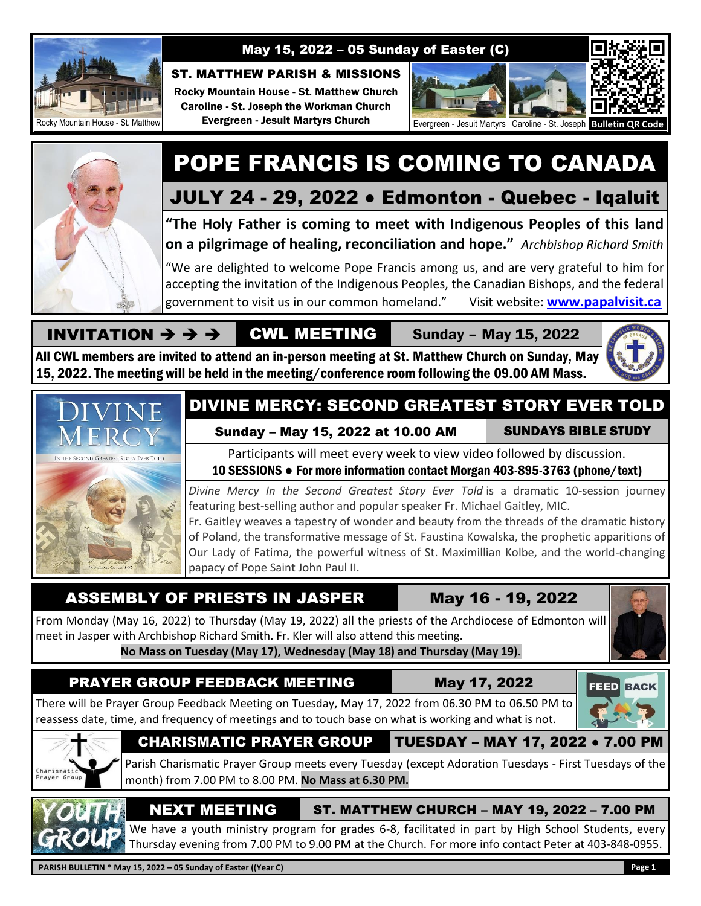

### May 15, 2022 – 05 Sunday of Easter (C)

#### ST. MATTHEW PARISH & MISSIONS

Rocky Mountain House - St. Matthew Church Caroline - St. Joseph the Workman Church Evergreen - Jesuit Martyrs Church



# POPE FRANCIS IS COMING TO CANADA

# JULY 24 - 29, 2022 ● Edmonton - Quebec - Iqaluit

**"The Holy Father is coming to meet with Indigenous Peoples of this land on a pilgrimage of healing, reconciliation and hope."** *Archbishop Richard Smith*

"We are delighted to welcome Pope Francis among us, and are very grateful to him for accepting the invitation of the Indigenous Peoples, the Canadian Bishops, and the federal government to visit us in our common homeland." Visit website: **[www.papalvisit.ca](http://www.papalvisit.ca/)**

#### INVITATION  $\rightarrow$   $\rightarrow$   $\rightarrow$  CWL MEETING Sunday – May 15, 2022

All CWL members are invited to attend an in-person meeting at St. Matthew Church on Sunday, May 15, 2022. The meeting will be held in the meeting/conference room following the 09.00 AM Mass.





# DIVINE MERCY: SECOND GREATEST STORY EVER TOLD

#### Sunday – May 15, 2022 at 10.00 AM SUNDAYS BIBLE STUDY

Participants will meet every week to view video followed by discussion.

# 10 SESSIONS ● For more information contact Morgan 403-895-3763 (phone/text)

*Divine Mercy In the Second Greatest Story Ever Told* is a dramatic 10-session journey featuring best-selling author and popular speaker Fr. Michael Gaitley, MIC.

Fr. Gaitley weaves a tapestry of wonder and beauty from the threads of the dramatic history of Poland, the transformative message of St. Faustina Kowalska, the prophetic apparitions of Our Lady of Fatima, the powerful witness of St. Maximillian Kolbe, and the world-changing papacy of Pope Saint John Paul II.

# ASSEMBLY OF PRIESTS IN JASPER May 16 - 19, 2022

From Monday (May 16, 2022) to Thursday (May 19, 2022) all the priests of the Archdiocese of Edmonton will meet in Jasper with Archbishop Richard Smith. Fr. Kler will also attend this meeting. **No Mass on Tuesday (May 17), Wednesday (May 18) and Thursday (May 19).**

# PRAYER GROUP FEEDBACK MEETING May 17, 2022



# **FEED BACK**

There will be Prayer Group Feedback Meeting on Tuesday, May 17, 2022 from 06.30 PM to 06.50 PM to reassess date, time, and frequency of meetings and to touch base on what is working and what is not.









NEXT MEETING ST. MATTHEW CHURCH – MAY 19, 2022 – 7.00 PM

We have a youth ministry program for grades 6-8, facilitated in part by High School Students, every Thursday evening from 7.00 PM to 9.00 PM at the Church. For more info contact Peter at 403-848-0955.

**PARISH BULLETIN \* May 15, 2022 – 05 Sunday of Easter ((Year C) Page 1**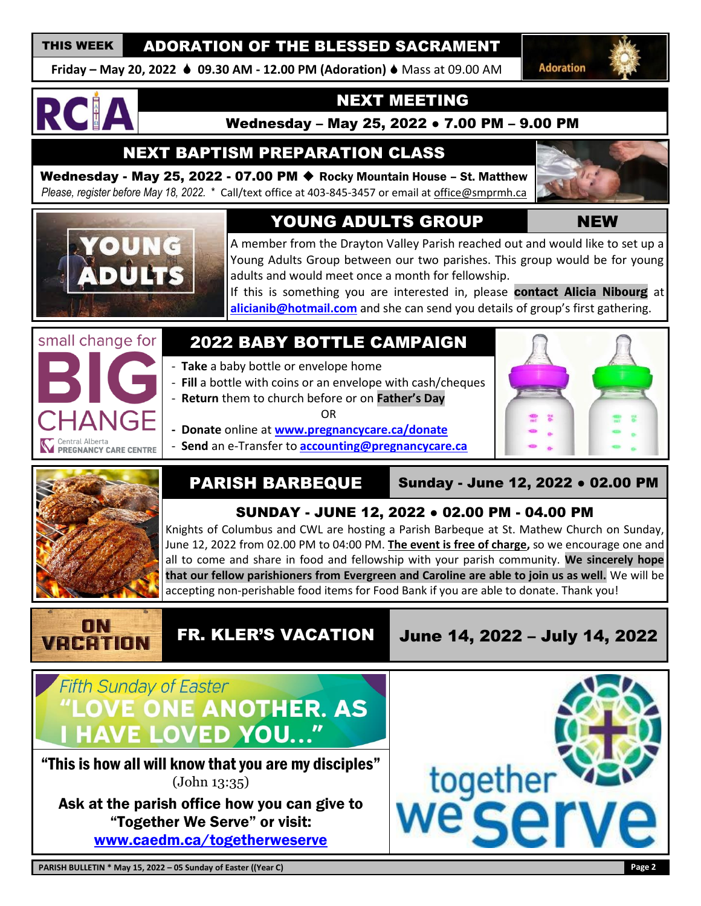## THIS WEEK ADORATION OF THE BLESSED SACRAMENT

**Friday – May 20, 2022 09.30 AM - 12.00 PM (Adoration)** Mass at 09.00 AM

**Adoration** 



## NEXT MEETING

Wednesday – May 25, 2022 ● 7.00 PM – 9.00 PM

NEXT BAPTISM PREPARATION CLASS

Wednesday - May 25, 2022 - 07.00 PM ◆ Rocky Mountain House – St. Matthew *Please, register before May 18, 2022.* \* Call/text office at 403-845-3457 or email at [office@smprmh.ca](mailto:office@smprmh.ca)





# YOUNG ADULTS GROUP NEW

A member from the Drayton Valley Parish reached out and would like to set up a Young Adults Group between our two parishes. This group would be for young adults and would meet once a month for fellowship.

If this is something you are interested in, please contact Alicia Nibourg at **[alicianib@hotmail.com](mailto:alicianib@hotmail.com)** and she can send you details of group's first gathering.



# 2022 BABY BOTTLE CAMPAIGN

- **Take** a baby bottle or envelope home

 - **Fill** a bottle with coins or an envelope with cash/cheques - **Return** them to church before or on **Father's Day**

OR

 **- Donate** online at **[www.pregnancycare.ca/donate](http://www.pregnancycare.ca/donate)** - **Send** an e-Transfer to **[accounting@pregnancycare.ca](mailto:accounting@pregnancycare.ca)**





PARISH BARBEQUE | Sunday - June 12, 2022 • 02.00 PM

# SUNDAY - JUNE 12, 2022 ● 02.00 PM - 04.00 PM

Knights of Columbus and CWL are hosting a Parish Barbeque at St. Mathew Church on Sunday, June 12, 2022 from 02.00 PM to 04:00 PM. **The event is free of charge,** so we encourage one and all to come and share in food and fellowship with your parish community. **We sincerely hope that our fellow parishioners from Evergreen and Caroline are able to join us as well.** We will be accepting non-perishable food items for Food Bank if you are able to donate. Thank you!



FR. KLER'S VACATION June 14, 2022 – July 14, 2022



"This is how all will know that you are my disciples" (John 13:35)

Ask at the parish office how you can give to "Together We Serve" or visit: [www.caedm.ca/togetherweserve](http://www.caedm.ca/togetherweserve)

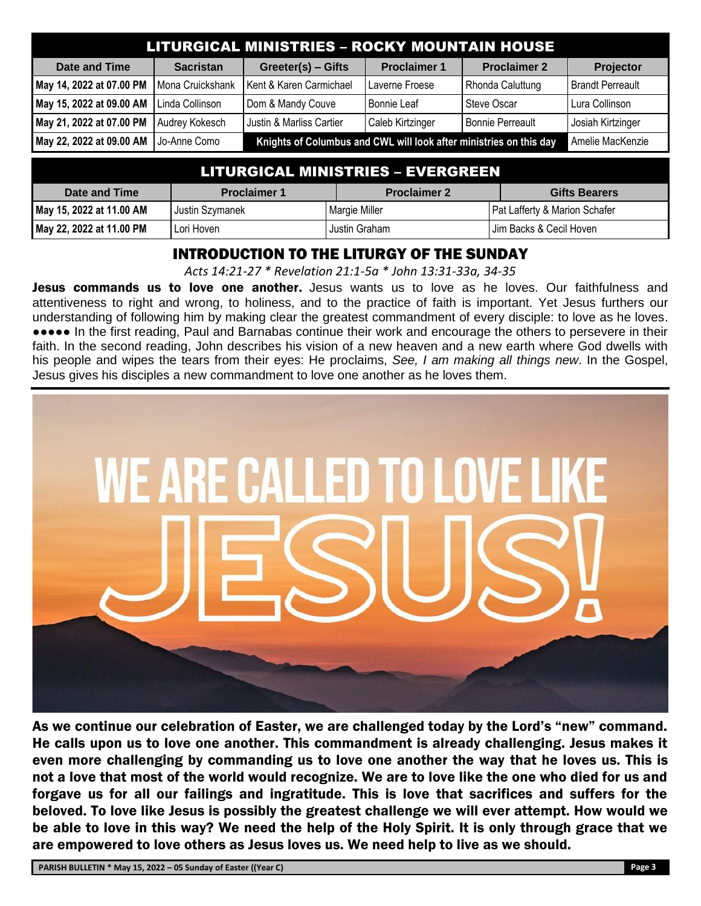| <b>LITURGICAL MINISTRIES - ROCKY MOUNTAIN HOUSE</b> |                  |                                                                    |                     |                         |                         |
|-----------------------------------------------------|------------------|--------------------------------------------------------------------|---------------------|-------------------------|-------------------------|
| <b>Date and Time</b>                                | <b>Sacristan</b> | Greeter(s) - Gifts                                                 | <b>Proclaimer 1</b> | <b>Proclaimer 2</b>     | Projector               |
| May 14, 2022 at 07.00 PM                            | Mona Cruickshank | Kent & Karen Carmichael                                            | Laverne Froese      | Rhonda Caluttung        | <b>Brandt Perreault</b> |
| May 15, 2022 at 09.00 AM                            | Linda Collinson  | Dom & Mandy Couve                                                  | Bonnie Leaf         | Steve Oscar             | Lura Collinson          |
| May 21, 2022 at 07.00 PM                            | Audrey Kokesch   | Justin & Marliss Cartier                                           | Caleb Kirtzinger    | <b>Bonnie Perreault</b> | Josiah Kirtzinger       |
| May 22, 2022 at 09.00 AM                            | Jo-Anne Como     | Knights of Columbus and CWL will look after ministries on this day |                     |                         | Amelie MacKenzie        |

| <u> LITURGICAL MINISTRIES – EVERGREEN </u> |                     |                     |                                          |  |
|--------------------------------------------|---------------------|---------------------|------------------------------------------|--|
| Date and Time                              | <b>Proclaimer 1</b> | <b>Proclaimer 2</b> | <b>Gifts Bearers</b>                     |  |
| May 15, 2022 at 11.00 AM                   | Justin Szymanek     | Margie Miller       | <b>Pat Lafferty &amp; Marion Schafer</b> |  |
| May 22, 2022 at 11.00 PM                   | Lori Hoven          | Justin Graham       | I Jim Backs & Cecil Hoven                |  |

### INTRODUCTION TO THE LITURGY OF THE SUNDAY

*Acts 14:21-27 \* Revelation 21:1-5a \* John 13:31-33a, 34-35*

Jesus commands us to love one another. Jesus wants us to love as he loves. Our faithfulness and attentiveness to right and wrong, to holiness, and to the practice of faith is important. Yet Jesus furthers our understanding of following him by making clear the greatest commandment of every disciple: to love as he loves. ●●●●● In the first reading, Paul and Barnabas continue their work and encourage the others to persevere in their faith. In the second reading, John describes his vision of a new heaven and a new earth where God dwells with his people and wipes the tears from their eyes: He proclaims, *See, I am making all things new*. In the Gospel, Jesus gives his disciples a new commandment to love one another as he loves them.



As we continue our celebration of Easter, we are challenged today by the Lord's "new" command. He calls upon us to love one another. This commandment is already challenging. Jesus makes it even more challenging by commanding us to love one another the way that he loves us. This is not a love that most of the world would recognize. We are to love like the one who died for us and forgave us for all our failings and ingratitude. This is love that sacrifices and suffers for the beloved. To love like Jesus is possibly the greatest challenge we will ever attempt. How would we be able to love in this way? We need the help of the Holy Spirit. It is only through grace that we are empowered to love others as Jesus loves us. We need help to live as we should.

**PARISH BULLETIN \* May 15, 2022 – 05 Sunday of Easter ((Year C) Page 3**